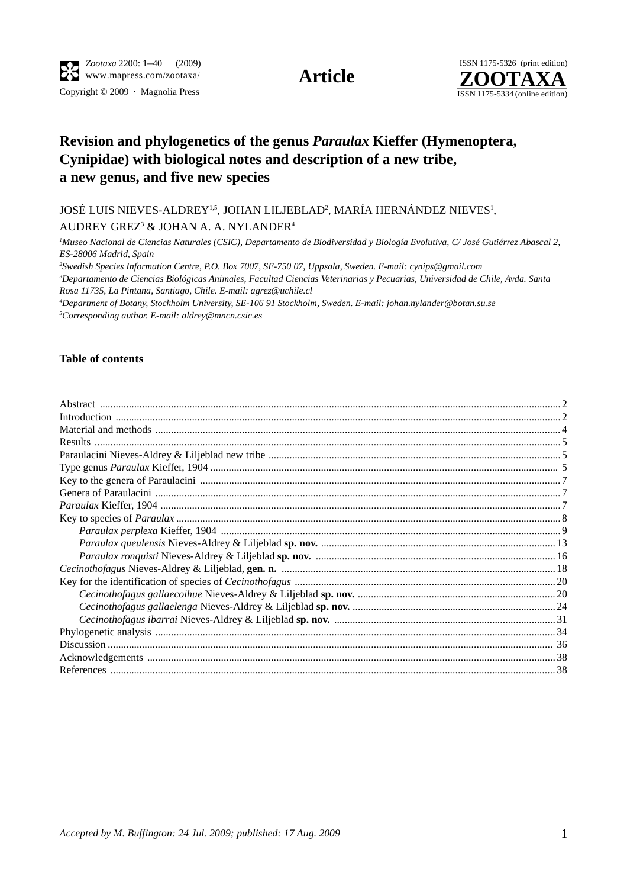

## **Revision and phylogenetics of the genus** *Paraulax* **Kieffer (Hymenoptera, Cynipidae) with biological notes and description of a new tribe, a new genus, and five new species**

JOSÉ LUIS NIEVES-ALDREY<sup>1,5</sup>, JOHAN LILJEBLAD<sup>2</sup>, MARÍA HERNÁNDEZ NIEVES<sup>1</sup>,

AUDREY GREZ<sup>3</sup> & JOHAN A. A. NYLANDER<sup>4</sup>

<sup>1</sup>Museo Nacional de Ciencias Naturales (CSIC), Departamento de Biodiversidad y Biología Evolutiva, C/ José Gutiérrez Abascal 2, *ES-28006 Madrid, Spain*

*2 Swedish Species Information Centre, P.O. Box 7007, SE-750 07, Uppsala, Sweden. E-mail: cynips@gmail.com*

*3 Departamento de Ciencias Biológicas Animales, Facultad Ciencias Veterinarias y Pecuarias, Universidad de Chile, Avda. Santa Rosa 11735, La Pintana, Santiago, Chile. E-mail: agrez@uchile.cl*

*4 Department of Botany, Stockholm University, SE-106 91 Stockholm, Sweden. E-mail: johan.nylander@botan.su.se 5 Corresponding author. E-mail: aldrey@mncn.csic.es*

## **Table of contents**